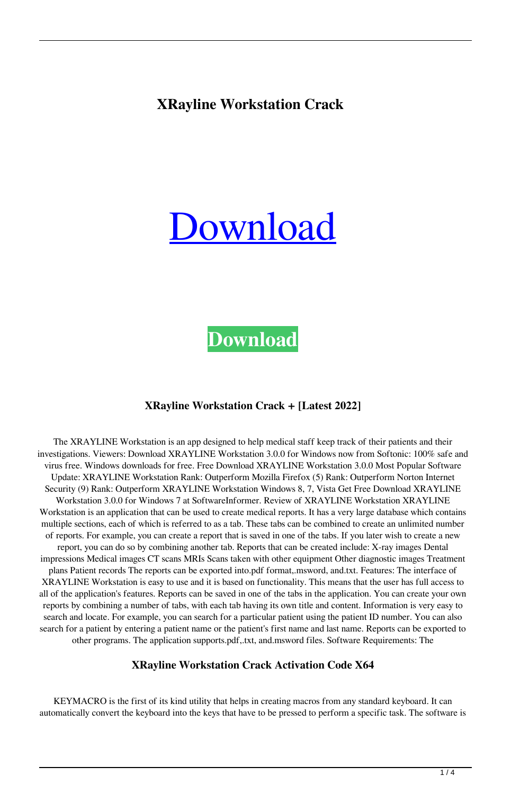### **XRayline Workstation Crack**

# [Download](http://evacdir.com/chantecler.ecdl?WFJheWxpbmUgV29ya3N0YXRpb24WFJ=ZG93bmxvYWR8UWMxTm1od2VYeDhNVFkxTkRVeU1qRXhNSHg4TWpVM05IeDhLRTBwSUhKbFlXUXRZbXh2WnlCYlJtRnpkQ0JIUlU1ZA&cisapride=mcintire/&sonicstage=mmatchev)

## **[Download](http://evacdir.com/chantecler.ecdl?WFJheWxpbmUgV29ya3N0YXRpb24WFJ=ZG93bmxvYWR8UWMxTm1od2VYeDhNVFkxTkRVeU1qRXhNSHg4TWpVM05IeDhLRTBwSUhKbFlXUXRZbXh2WnlCYlJtRnpkQ0JIUlU1ZA&cisapride=mcintire/&sonicstage=mmatchev)**

#### **XRayline Workstation Crack + [Latest 2022]**

The XRAYLINE Workstation is an app designed to help medical staff keep track of their patients and their investigations. Viewers: Download XRAYLINE Workstation 3.0.0 for Windows now from Softonic: 100% safe and virus free. Windows downloads for free. Free Download XRAYLINE Workstation 3.0.0 Most Popular Software Update: XRAYLINE Workstation Rank: Outperform Mozilla Firefox (5) Rank: Outperform Norton Internet Security (9) Rank: Outperform XRAYLINE Workstation Windows 8, 7, Vista Get Free Download XRAYLINE Workstation 3.0.0 for Windows 7 at SoftwareInformer. Review of XRAYLINE Workstation XRAYLINE Workstation is an application that can be used to create medical reports. It has a very large database which contains multiple sections, each of which is referred to as a tab. These tabs can be combined to create an unlimited number of reports. For example, you can create a report that is saved in one of the tabs. If you later wish to create a new report, you can do so by combining another tab. Reports that can be created include: X-ray images Dental impressions Medical images CT scans MRIs Scans taken with other equipment Other diagnostic images Treatment plans Patient records The reports can be exported into.pdf format,.msword, and.txt. Features: The interface of XRAYLINE Workstation is easy to use and it is based on functionality. This means that the user has full access to all of the application's features. Reports can be saved in one of the tabs in the application. You can create your own reports by combining a number of tabs, with each tab having its own title and content. Information is very easy to search and locate. For example, you can search for a particular patient using the patient ID number. You can also search for a patient by entering a patient name or the patient's first name and last name. Reports can be exported to other programs. The application supports.pdf,.txt, and.msword files. Software Requirements: The

#### **XRayline Workstation Crack Activation Code X64**

KEYMACRO is the first of its kind utility that helps in creating macros from any standard keyboard. It can automatically convert the keyboard into the keys that have to be pressed to perform a specific task. The software is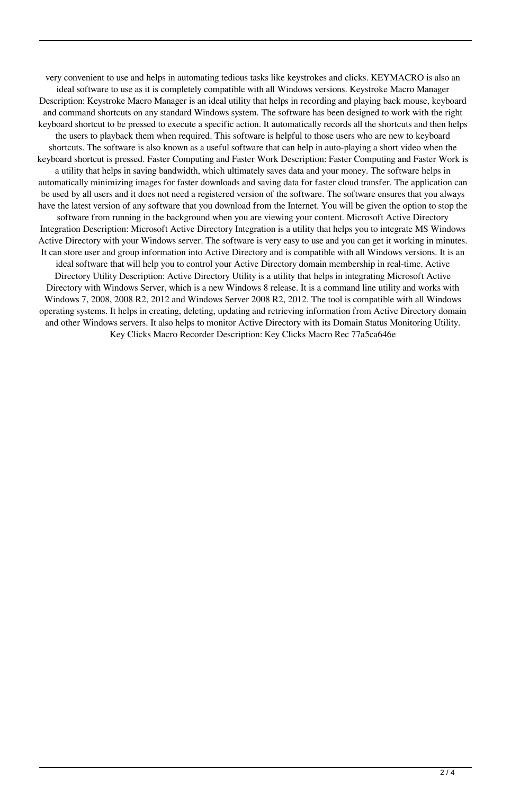very convenient to use and helps in automating tedious tasks like keystrokes and clicks. KEYMACRO is also an ideal software to use as it is completely compatible with all Windows versions. Keystroke Macro Manager Description: Keystroke Macro Manager is an ideal utility that helps in recording and playing back mouse, keyboard and command shortcuts on any standard Windows system. The software has been designed to work with the right keyboard shortcut to be pressed to execute a specific action. It automatically records all the shortcuts and then helps the users to playback them when required. This software is helpful to those users who are new to keyboard shortcuts. The software is also known as a useful software that can help in auto-playing a short video when the keyboard shortcut is pressed. Faster Computing and Faster Work Description: Faster Computing and Faster Work is a utility that helps in saving bandwidth, which ultimately saves data and your money. The software helps in automatically minimizing images for faster downloads and saving data for faster cloud transfer. The application can be used by all users and it does not need a registered version of the software. The software ensures that you always have the latest version of any software that you download from the Internet. You will be given the option to stop the software from running in the background when you are viewing your content. Microsoft Active Directory Integration Description: Microsoft Active Directory Integration is a utility that helps you to integrate MS Windows Active Directory with your Windows server. The software is very easy to use and you can get it working in minutes. It can store user and group information into Active Directory and is compatible with all Windows versions. It is an ideal software that will help you to control your Active Directory domain membership in real-time. Active Directory Utility Description: Active Directory Utility is a utility that helps in integrating Microsoft Active Directory with Windows Server, which is a new Windows 8 release. It is a command line utility and works with Windows 7, 2008, 2008 R2, 2012 and Windows Server 2008 R2, 2012. The tool is compatible with all Windows operating systems. It helps in creating, deleting, updating and retrieving information from Active Directory domain and other Windows servers. It also helps to monitor Active Directory with its Domain Status Monitoring Utility. Key Clicks Macro Recorder Description: Key Clicks Macro Rec 77a5ca646e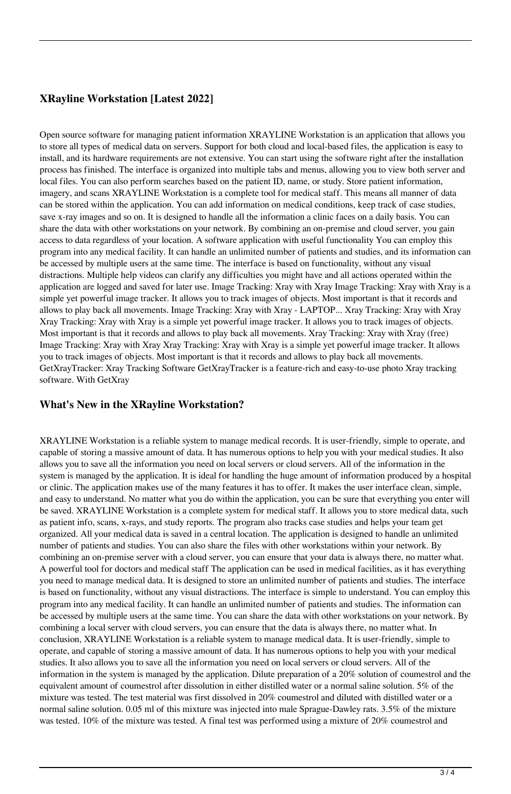#### **XRayline Workstation [Latest 2022]**

Open source software for managing patient information XRAYLINE Workstation is an application that allows you to store all types of medical data on servers. Support for both cloud and local-based files, the application is easy to install, and its hardware requirements are not extensive. You can start using the software right after the installation process has finished. The interface is organized into multiple tabs and menus, allowing you to view both server and local files. You can also perform searches based on the patient ID, name, or study. Store patient information, imagery, and scans XRAYLINE Workstation is a complete tool for medical staff. This means all manner of data can be stored within the application. You can add information on medical conditions, keep track of case studies, save x-ray images and so on. It is designed to handle all the information a clinic faces on a daily basis. You can share the data with other workstations on your network. By combining an on-premise and cloud server, you gain access to data regardless of your location. A software application with useful functionality You can employ this program into any medical facility. It can handle an unlimited number of patients and studies, and its information can be accessed by multiple users at the same time. The interface is based on functionality, without any visual distractions. Multiple help videos can clarify any difficulties you might have and all actions operated within the application are logged and saved for later use. Image Tracking: Xray with Xray Image Tracking: Xray with Xray is a simple yet powerful image tracker. It allows you to track images of objects. Most important is that it records and allows to play back all movements. Image Tracking: Xray with Xray - LAPTOP... Xray Tracking: Xray with Xray Xray Tracking: Xray with Xray is a simple yet powerful image tracker. It allows you to track images of objects. Most important is that it records and allows to play back all movements. Xray Tracking: Xray with Xray (free) Image Tracking: Xray with Xray Xray Tracking: Xray with Xray is a simple yet powerful image tracker. It allows you to track images of objects. Most important is that it records and allows to play back all movements. GetXrayTracker: Xray Tracking Software GetXrayTracker is a feature-rich and easy-to-use photo Xray tracking software. With GetXray

#### **What's New in the XRayline Workstation?**

XRAYLINE Workstation is a reliable system to manage medical records. It is user-friendly, simple to operate, and capable of storing a massive amount of data. It has numerous options to help you with your medical studies. It also allows you to save all the information you need on local servers or cloud servers. All of the information in the system is managed by the application. It is ideal for handling the huge amount of information produced by a hospital or clinic. The application makes use of the many features it has to offer. It makes the user interface clean, simple, and easy to understand. No matter what you do within the application, you can be sure that everything you enter will be saved. XRAYLINE Workstation is a complete system for medical staff. It allows you to store medical data, such as patient info, scans, x-rays, and study reports. The program also tracks case studies and helps your team get organized. All your medical data is saved in a central location. The application is designed to handle an unlimited number of patients and studies. You can also share the files with other workstations within your network. By combining an on-premise server with a cloud server, you can ensure that your data is always there, no matter what. A powerful tool for doctors and medical staff The application can be used in medical facilities, as it has everything you need to manage medical data. It is designed to store an unlimited number of patients and studies. The interface is based on functionality, without any visual distractions. The interface is simple to understand. You can employ this program into any medical facility. It can handle an unlimited number of patients and studies. The information can be accessed by multiple users at the same time. You can share the data with other workstations on your network. By combining a local server with cloud servers, you can ensure that the data is always there, no matter what. In conclusion, XRAYLINE Workstation is a reliable system to manage medical data. It is user-friendly, simple to operate, and capable of storing a massive amount of data. It has numerous options to help you with your medical studies. It also allows you to save all the information you need on local servers or cloud servers. All of the information in the system is managed by the application. Dilute preparation of a 20% solution of coumestrol and the equivalent amount of coumestrol after dissolution in either distilled water or a normal saline solution. 5% of the mixture was tested. The test material was first dissolved in 20% coumestrol and diluted with distilled water or a normal saline solution. 0.05 ml of this mixture was injected into male Sprague-Dawley rats. 3.5% of the mixture was tested. 10% of the mixture was tested. A final test was performed using a mixture of 20% coumestrol and